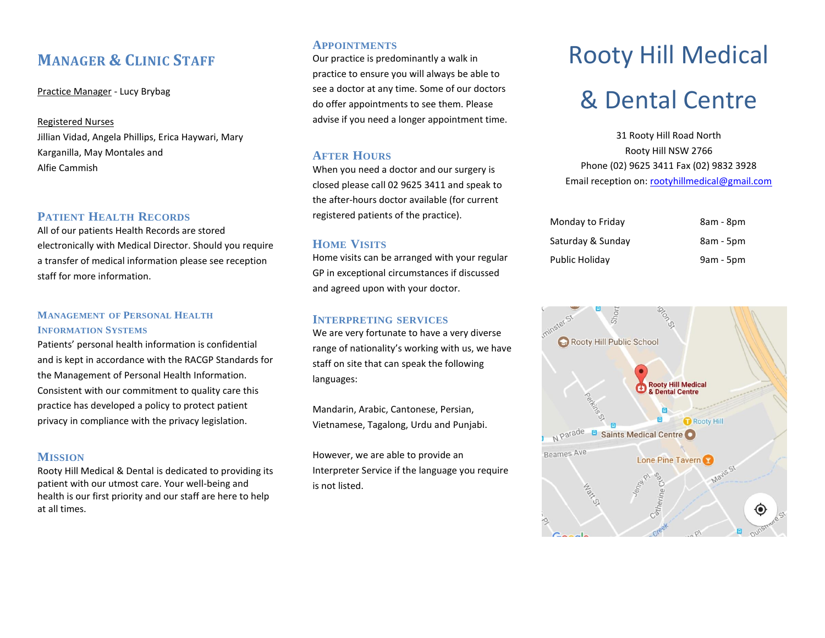# **MANAGER & CLINIC STAFF**

Practice Manager - Lucy Brybag

#### Registered Nurses

Jillian Vidad, Angela Phillips, Erica Haywari, Mary Karganilla, May Montales and Alfie Cammish

# **PATIENT HEALTH RECORDS**

All of our patients Health Records are stored electronically with Medical Director. Should you require a transfer of medical information please see reception staff for more information.

#### **MANAGEMENT OF PERSONAL HEALTH INFORMATION SYSTEMS**

Patients' personal health information is confidential and is kept in accordance with the RACGP Standards for the Management of Personal Health Information. Consistent with our commitment to quality care this practice has developed a policy to protect patient privacy in compliance with the privacy legislation.

# **MISSION**

Rooty Hill Medical & Dental is dedicated to providing its patient with our utmost care. Your well-being and health is our first priority and our staff are here to help at all times.

## **APPOINTMENTS**

Our practice is predominantly a walk in practice to ensure you will always be able to see a doctor at any time. Some of our doctors do offer appointments to see them. Please advise if you need a longer appointment time.

# **AFTER HOURS**

When you need a doctor and our surgery is closed please call 02 9625 3411 and speak to the after-hours doctor available (for current registered patients of the practice).

# **HOME VISITS**

Home visits can be arranged with your regular GP in exceptional circumstances if discussed and agreed upon with your doctor.

# **INTERPRETING SERVICES**

We are very fortunate to have a very diverse range of nationality's working with us, we have staff on site that can speak the following languages:

Mandarin, Arabic, Cantonese, Persian, Vietnamese, Tagalong, Urdu and Punjabi.

However, we are able to provide an Interpreter Service if the language you require is not listed.

# Rooty Hill Medical & Dental Centre

31 Rooty Hill Road North Rooty Hill NSW 2766 Phone (02) 9625 3411 Fax (02) 9832 3928 Email reception on: [rootyhillmedical@gmail.com](mailto:rootyhillmedical@gmail.com)

| Monday to Friday  | 8am - 8pm   |
|-------------------|-------------|
| Saturday & Sunday | 8am - 5pm   |
| Public Holidav    | $9am - 5pm$ |